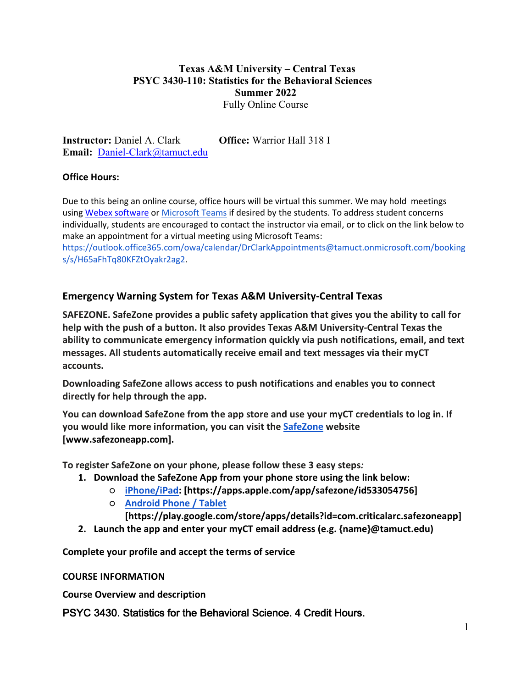## **Texas A&M University – Central Texas PSYC 3430-110: Statistics for the Behavioral Sciences Summer 2022** Fully Online Course

**Instructor:** Daniel A. Clark **Office:** Warrior Hall 318 I **Email:** [Daniel-Clark@tamuct.edu](mailto:Daniel-Clark@tamuct.edu)

## **Office Hours:**

Due to this being an online course, office hours will be virtual this summer. We may hold meetings using [Webex software](https://tamuct.instructure.com/courses/6889/external_tools/780) or [Microsoft Teams](https://www.microsoft.com/en-us/microsoft-teams/group-chat-software) if desired by the students. To address student concerns individually, students are encouraged to contact the instructor via email, or to click on the link below to make an appointment for a virtual meeting using Microsoft Teams:

[https://outlook.office365.com/owa/calendar/DrClarkAppointments@tamuct.onmicrosoft.com/booking](https://outlook.office365.com/owa/calendar/DrClarkAppointments@tamuct.onmicrosoft.com/bookings/s/H65aFhTq80KFZtOyakr2ag2) [s/s/H65aFhTq80KFZtOyakr2ag2.](https://outlook.office365.com/owa/calendar/DrClarkAppointments@tamuct.onmicrosoft.com/bookings/s/H65aFhTq80KFZtOyakr2ag2)

# **Emergency Warning System for Texas A&M University-Central Texas**

**SAFEZONE. SafeZone provides a public safety application that gives you the ability to call for help with the push of a button. It also provides Texas A&M University-Central Texas the ability to communicate emergency information quickly via push notifications, email, and text messages. All students automatically receive email and text messages via their myCT accounts.**

**Downloading SafeZone allows access to push notifications and enables you to connect directly for help through the app.**

**You can download SafeZone from the app store and use your myCT credentials to log in. If you would like more information, you can visit th[e](http://www.safezoneapp.com/) [SafeZone](http://www.safezoneapp.com/) website [www.safezoneapp.com].**

**To register SafeZone on your phone, please follow these 3 easy steps***:* 

- **1. Download the SafeZone App from your phone store using the link below:**
	- **[iPhone/iPad:](https://apps.apple.com/app/safezone/id533054756) [https://apps.apple.com/app/safezone/id533054756]**
	- **[Android Phone / Tablet](https://play.google.com/store/apps/details?id=com.criticalarc.safezoneapp)**
		- **[https://play.google.com/store/apps/details?id=com.criticalarc.safezoneapp]**
- **2. Launch the app and enter your myCT email address (e.g. {name}@tamuct.edu)**

**Complete your profile and accept the terms of service**

**COURSE INFORMATION**

**Course Overview and description**

PSYC 3430. Statistics for the Behavioral Science. 4 Credit Hours.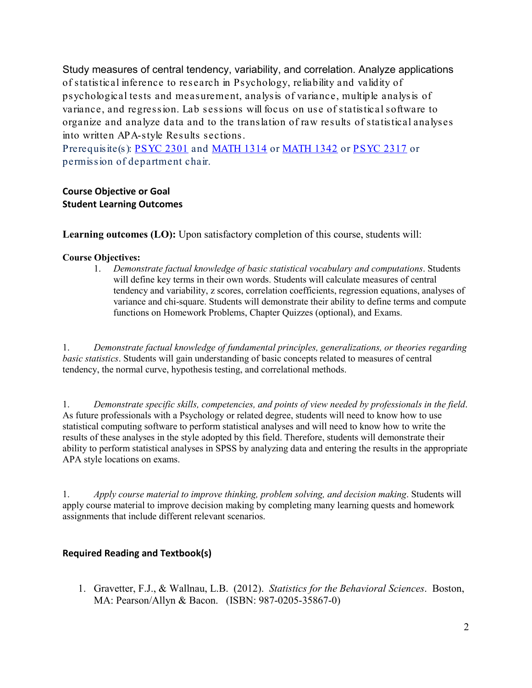Study measures of central tendency, variability, and correlation. Analyze applications of statistical inference to research in Psychology, reliability and validity of psychological tests and measurement, analysis of variance, multiple analysis of variance, and regression. Lab sessions will focus on use of statistical software to organize and analyze data and to the translation of raw results of statistical analyses into written APA-style Results sections.

Prerequisite(s): [PSYC](http://catalog.tamuct.edu/search/?P=PSYC%202317) 2301 and [MATH](http://catalog.tamuct.edu/search/?P=MATH%201342) 1314 or MATH 1342 or PSYC 2317 or permission of department chair.

#### **Course Objective or Goal Student Learning Outcomes**

**Learning outcomes (LO):** Upon satisfactory completion of this course, students will:

#### **Course Objectives:**

1. *Demonstrate factual knowledge of basic statistical vocabulary and computations*. Students will define key terms in their own words. Students will calculate measures of central tendency and variability, z scores, correlation coefficients, regression equations, analyses of variance and chi-square. Students will demonstrate their ability to define terms and compute functions on Homework Problems, Chapter Quizzes (optional), and Exams.

1. *Demonstrate factual knowledge of fundamental principles, generalizations, or theories regarding basic statistics*. Students will gain understanding of basic concepts related to measures of central tendency, the normal curve, hypothesis testing, and correlational methods.

1. *Demonstrate specific skills, competencies, and points of view needed by professionals in the field*. As future professionals with a Psychology or related degree, students will need to know how to use statistical computing software to perform statistical analyses and will need to know how to write the results of these analyses in the style adopted by this field. Therefore, students will demonstrate their ability to perform statistical analyses in SPSS by analyzing data and entering the results in the appropriate APA style locations on exams.

1. *Apply course material to improve thinking, problem solving, and decision making*. Students will apply course material to improve decision making by completing many learning quests and homework assignments that include different relevant scenarios.

#### **Required Reading and Textbook(s)**

1. Gravetter, F.J., & Wallnau, L.B. (2012). *Statistics for the Behavioral Sciences*. Boston, MA: Pearson/Allyn & Bacon. (ISBN: 987-0205-35867-0)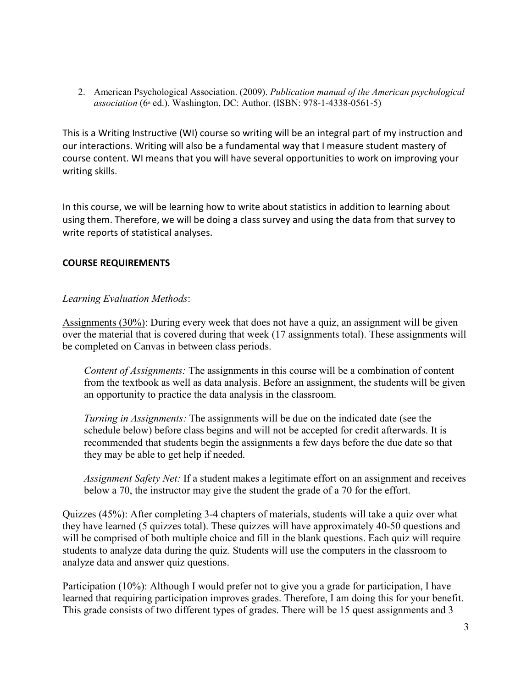2. American Psychological Association. (2009). *Publication manual of the American psychological association* (6<sup>th</sup> ed.). Washington, DC: Author. (ISBN: 978-1-4338-0561-5)

This is a Writing Instructive (WI) course so writing will be an integral part of my instruction and our interactions. Writing will also be a fundamental way that I measure student mastery of course content. WI means that you will have several opportunities to work on improving your writing skills.

In this course, we will be learning how to write about statistics in addition to learning about using them. Therefore, we will be doing a class survey and using the data from that survey to write reports of statistical analyses.

## **COURSE REQUIREMENTS**

## *Learning Evaluation Methods*:

Assignments (30%): During every week that does not have a quiz, an assignment will be given over the material that is covered during that week (17 assignments total). These assignments will be completed on Canvas in between class periods.

*Content of Assignments:* The assignments in this course will be a combination of content from the textbook as well as data analysis. Before an assignment, the students will be given an opportunity to practice the data analysis in the classroom.

*Turning in Assignments:* The assignments will be due on the indicated date (see the schedule below) before class begins and will not be accepted for credit afterwards. It is recommended that students begin the assignments a few days before the due date so that they may be able to get help if needed.

*Assignment Safety Net:* If a student makes a legitimate effort on an assignment and receives below a 70, the instructor may give the student the grade of a 70 for the effort.

Quizzes (45%): After completing 3-4 chapters of materials, students will take a quiz over what they have learned (5 quizzes total). These quizzes will have approximately 40-50 questions and will be comprised of both multiple choice and fill in the blank questions. Each quiz will require students to analyze data during the quiz. Students will use the computers in the classroom to analyze data and answer quiz questions.

Participation (10%): Although I would prefer not to give you a grade for participation, I have learned that requiring participation improves grades. Therefore, I am doing this for your benefit. This grade consists of two different types of grades. There will be 15 quest assignments and 3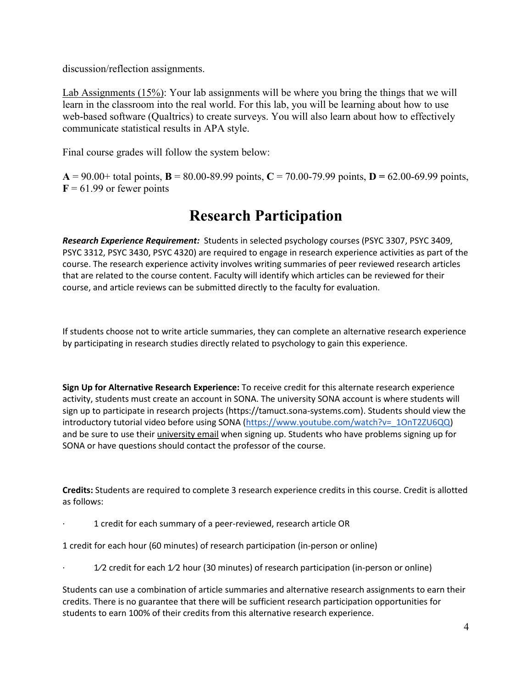discussion/reflection assignments.

Lab Assignments (15%): Your lab assignments will be where you bring the things that we will learn in the classroom into the real world. For this lab, you will be learning about how to use web-based software (Qualtrics) to create surveys. You will also learn about how to effectively communicate statistical results in APA style.

Final course grades will follow the system below:

 $A = 90.00 +$  total points,  $B = 80.00 - 89.99$  points,  $C = 70.00 - 79.99$  points,  $D = 62.00 - 69.99$  points,  $F = 61.99$  or fewer points

# **Research Participation**

*Research Experience Requirement:* Students in selected psychology courses (PSYC 3307, PSYC 3409, PSYC 3312, PSYC 3430, PSYC 4320) are required to engage in research experience activities as part of the course. The research experience activity involves writing summaries of peer reviewed research articles that are related to the course content. Faculty will identify which articles can be reviewed for their course, and article reviews can be submitted directly to the faculty for evaluation.

If students choose not to write article summaries, they can complete an alternative research experience by participating in research studies directly related to psychology to gain this experience.

**Sign Up for Alternative Research Experience:** To receive credit for this alternate research experience activity, students must create an account in SONA. The university SONA account is where students will sign up to participate in research projects (https://tamuct.sona-systems.com). Students should view the introductory tutorial video before using SONA [\(https://www.youtube.com/watch?v=\\_1OnT2ZU6QQ\)](https://www.youtube.com/watch?v=_1OnT2ZU6QQ) and be sure to use their *university email* when signing up. Students who have problems signing up for SONA or have questions should contact the professor of the course.

**Credits:** Students are required to complete 3 research experience credits in this course. Credit is allotted as follows:

· 1 credit for each summary of a peer-reviewed, research article OR

1 credit for each hour (60 minutes) of research participation (in-person or online)

 $1/2$  credit for each  $1/2$  hour (30 minutes) of research participation (in-person or online)

Students can use a combination of article summaries and alternative research assignments to earn their credits. There is no guarantee that there will be sufficient research participation opportunities for students to earn 100% of their credits from this alternative research experience.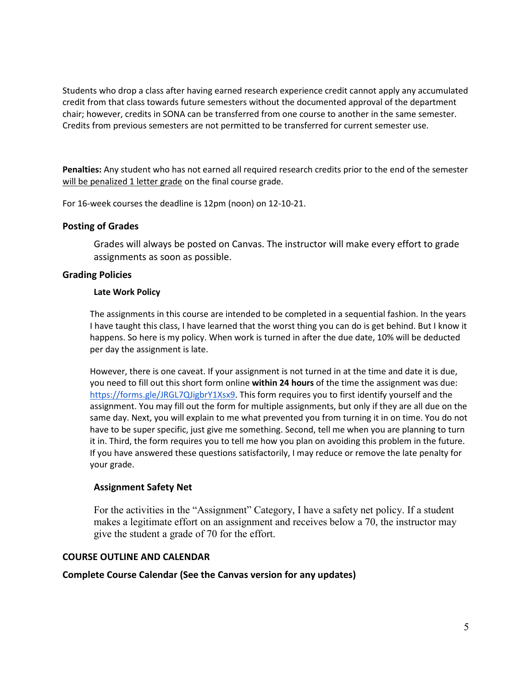Students who drop a class after having earned research experience credit cannot apply any accumulated credit from that class towards future semesters without the documented approval of the department chair; however, credits in SONA can be transferred from one course to another in the same semester. Credits from previous semesters are not permitted to be transferred for current semester use.

**Penalties:** Any student who has not earned all required research credits prior to the end of the semester will be penalized 1 letter grade on the final course grade.

For 16-week courses the deadline is 12pm (noon) on 12-10-21.

#### **Posting of Grades**

Grades will always be posted on Canvas. The instructor will make every effort to grade assignments as soon as possible.

#### **Grading Policies**

#### **Late Work Policy**

The assignments in this course are intended to be completed in a sequential fashion. In the years I have taught this class, I have learned that the worst thing you can do is get behind. But I know it happens. So here is my policy. When work is turned in after the due date, 10% will be deducted per day the assignment is late.

However, there is one caveat. If your assignment is not turned in at the time and date it is due, you need to fill out this short form online **within 24 hours** of the time the assignment was due: [https://forms.gle/JRGL7QJigbrY1Xsx9.](https://forms.gle/JRGL7QJigbrY1Xsx9) This form requires you to first identify yourself and the assignment. You may fill out the form for multiple assignments, but only if they are all due on the same day. Next, you will explain to me what prevented you from turning it in on time. You do not have to be super specific, just give me something. Second, tell me when you are planning to turn it in. Third, the form requires you to tell me how you plan on avoiding this problem in the future. If you have answered these questions satisfactorily, I may reduce or remove the late penalty for your grade.

#### **Assignment Safety Net**

For the activities in the "Assignment" Category, I have a safety net policy. If a student makes a legitimate effort on an assignment and receives below a 70, the instructor may give the student a grade of 70 for the effort.

#### **COURSE OUTLINE AND CALENDAR**

#### **Complete Course Calendar (See the Canvas version for any updates)**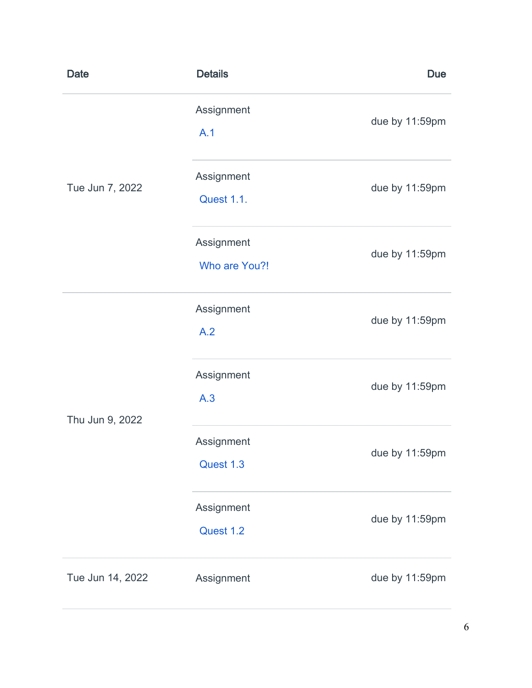| <b>Date</b>      | <b>Details</b>                  | <b>Due</b>     |
|------------------|---------------------------------|----------------|
| Tue Jun 7, 2022  | Assignment<br>A.1               | due by 11:59pm |
|                  | Assignment<br><b>Quest 1.1.</b> | due by 11:59pm |
|                  | Assignment<br>Who are You?!     | due by 11:59pm |
|                  | Assignment<br>A.2               | due by 11:59pm |
| Thu Jun 9, 2022  | Assignment<br>A.3               | due by 11:59pm |
|                  | Assignment<br>Quest 1.3         | due by 11:59pm |
|                  | Assignment<br>Quest 1.2         | due by 11:59pm |
| Tue Jun 14, 2022 | Assignment                      | due by 11:59pm |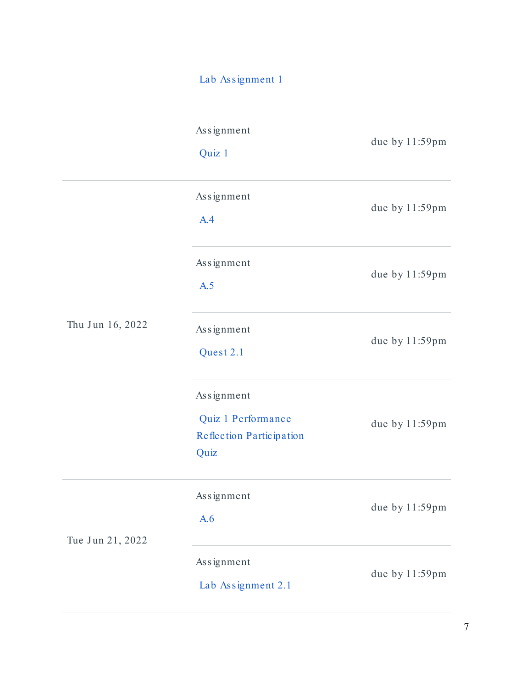# [Lab Assignment 1](https://tamuct.instructure.com/courses/10509/assignments/194736)

|                  | Assignment<br>Quiz 1                                                 | due by 11:59pm |
|------------------|----------------------------------------------------------------------|----------------|
| Thu Jun 16, 2022 | Assignment<br>A.4                                                    | due by 11:59pm |
|                  | Assignment<br>A.5                                                    | due by 11:59pm |
|                  | Assignment<br>Quest 2.1                                              | due by 11:59pm |
|                  | Assignment<br>Quiz 1 Performance<br>Reflection Participation<br>Quiz | due by 11:59pm |
| Tue Jun 21, 2022 | Assignment<br>A.6                                                    | due by 11:59pm |
|                  | Assignment<br>Lab Assignment 2.1                                     | due by 11:59pm |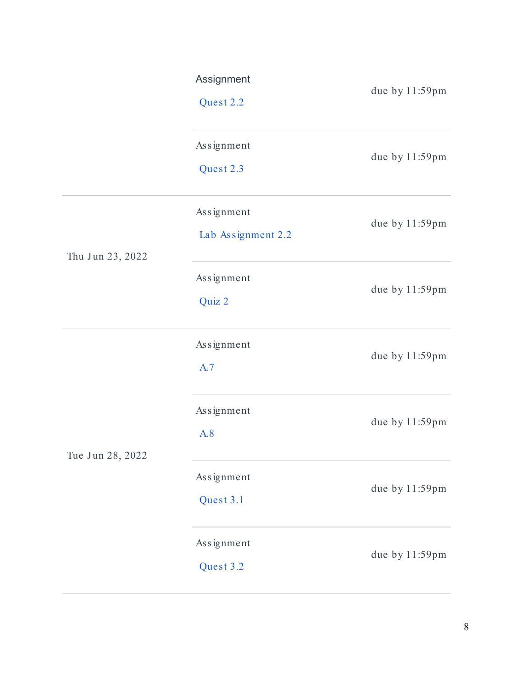|                  | Assignment<br>Quest 2.2          | due by 11:59pm |
|------------------|----------------------------------|----------------|
|                  | Assignment<br>Quest 2.3          | due by 11:59pm |
| Thu Jun 23, 2022 | Assignment<br>Lab Assignment 2.2 | due by 11:59pm |
|                  | Assignment<br>Quiz 2             | due by 11:59pm |
|                  | Assignment<br>A.7                | due by 11:59pm |
| Tue Jun 28, 2022 | Assignment<br>A.8                | due by 11:59pm |
|                  | Assignment<br>Quest 3.1          | due by 11:59pm |
|                  | Assignment<br>Quest 3.2          | due by 11:59pm |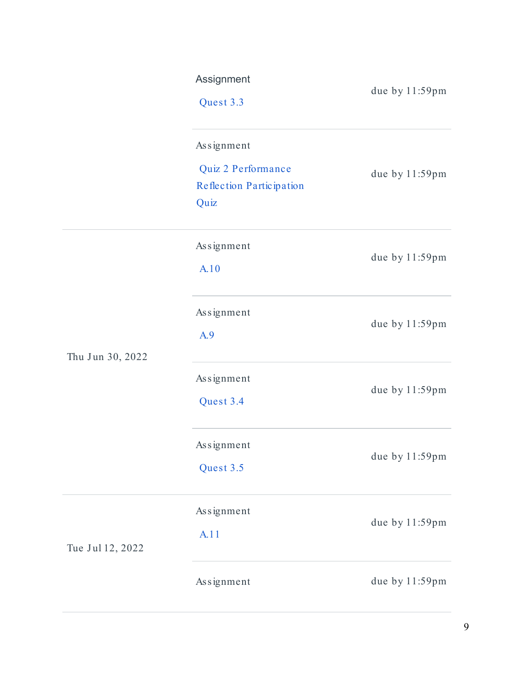|                  | Assignment<br>Quest 3.3                                              | due by 11:59pm |
|------------------|----------------------------------------------------------------------|----------------|
|                  | Assignment<br>Quiz 2 Performance<br>Reflection Participation<br>Quiz | due by 11:59pm |
| Thu Jun 30, 2022 | Assignment<br>A.10                                                   | due by 11:59pm |
|                  | Assignment<br>A.9                                                    | due by 11:59pm |
|                  | Assignment<br>Quest 3.4                                              | due by 11:59pm |
|                  | Assignment<br>Quest 3.5                                              | due by 11:59pm |
| Tue Jul 12, 2022 | Assignment<br>A.11                                                   | due by 11:59pm |
|                  | Assignment                                                           | due by 11:59pm |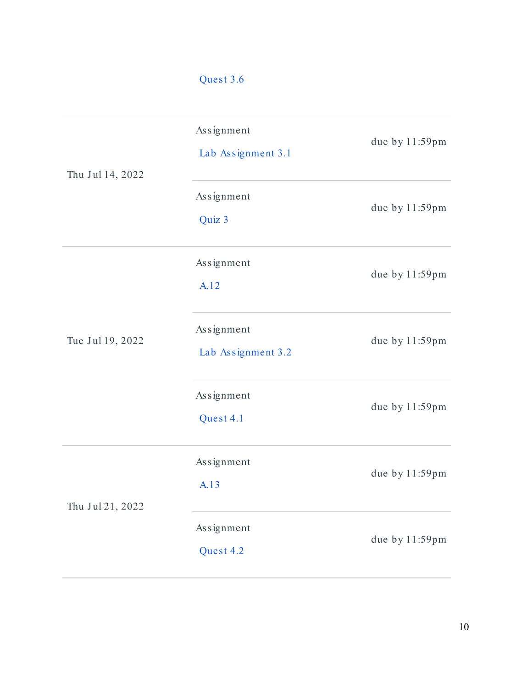|                  | Quest 3.6                        |                |
|------------------|----------------------------------|----------------|
| Thu Jul 14, 2022 | Assignment<br>Lab Assignment 3.1 | due by 11:59pm |
|                  | Assignment<br>Quiz 3             | due by 11:59pm |
| Tue Jul 19, 2022 | Assignment<br>A.12               | due by 11:59pm |
|                  | Assignment<br>Lab Assignment 3.2 | due by 11:59pm |
|                  | Assignment<br>Quest 4.1          | due by 11:59pm |
| Thu Jul 21, 2022 | Assignment<br>A.13               | due by 11:59pm |
|                  | Assignment<br>Quest 4.2          | due by 11:59pm |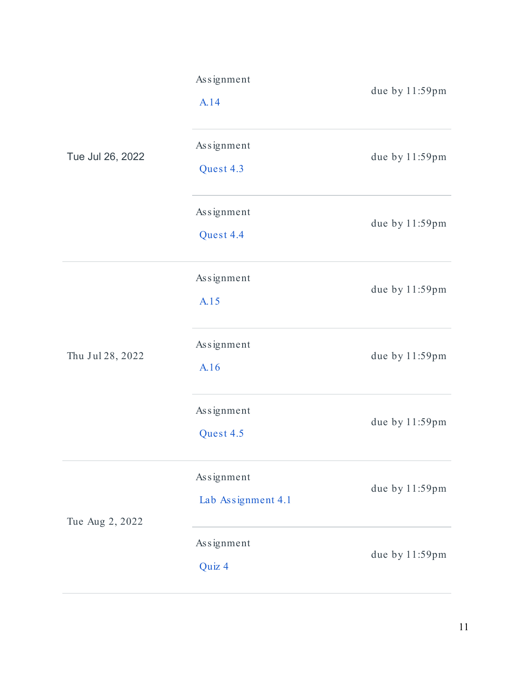| Tue Jul 26, 2022 | Assignment<br>A.14               | due by 11:59pm |
|------------------|----------------------------------|----------------|
|                  | Assignment<br>Quest 4.3          | due by 11:59pm |
|                  | Assignment<br>Quest 4.4          | due by 11:59pm |
| Thu Jul 28, 2022 | Assignment<br>A.15               | due by 11:59pm |
|                  | Assignment<br>A.16               | due by 11:59pm |
|                  | Assignment<br>Quest 4.5          | due by 11:59pm |
| Tue Aug 2, 2022  | Assignment<br>Lab Assignment 4.1 | due by 11:59pm |
|                  | Assignment<br>Quiz 4             | due by 11:59pm |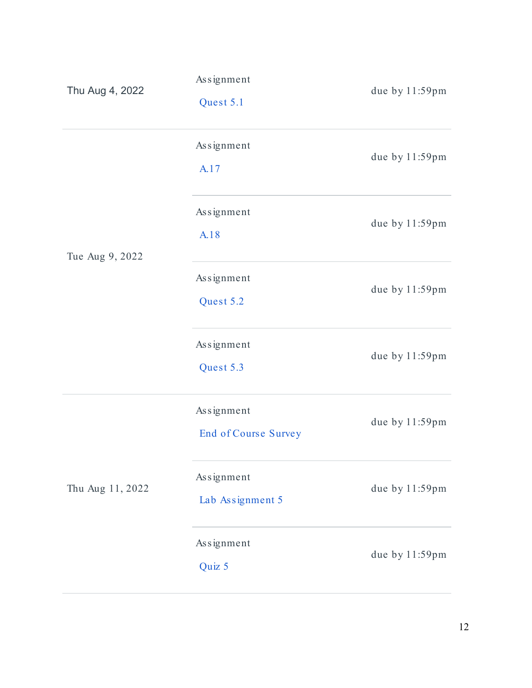| Thu Aug 4, 2022  | Assignment<br>Quest 5.1            | due by 11:59pm |
|------------------|------------------------------------|----------------|
| Tue Aug 9, 2022  | Assignment<br>A.17                 | due by 11:59pm |
|                  | Assignment<br>A.18                 | due by 11:59pm |
|                  | Assignment<br>Quest 5.2            | due by 11:59pm |
|                  | Assignment<br>Quest 5.3            | due by 11:59pm |
| Thu Aug 11, 2022 | Assignment<br>End of Course Survey | due by 11:59pm |
|                  | Assignment<br>Lab Assignment 5     | due by 11:59pm |
|                  | Assignment<br>Quiz 5               | due by 11:59pm |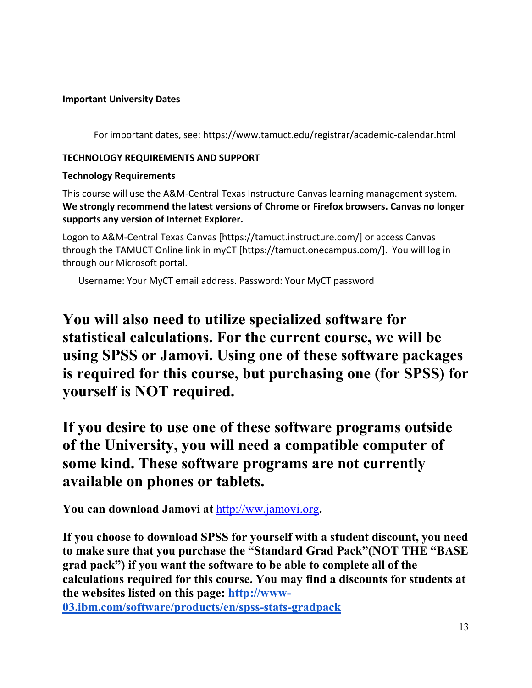## **Important University Dates**

For important dates, see: https://www.tamuct.edu/registrar/academic-calendar.html

## **TECHNOLOGY REQUIREMENTS AND SUPPORT**

## **Technology Requirements**

This course will use the A&M-Central Texas Instructure Canvas learning management system. **We strongly recommend the latest versions of Chrome or Firefox browsers. Canvas no longer supports any version of Internet Explorer.**

Logon to A&M-Central Texas Canvas [https://tamuct.instructure.com/] or access Canvas through the TAMUCT Online link in myCT [https://tamuct.onecampus.com/]. You will log in through our Microsoft portal.

Username: Your MyCT email address. Password: Your MyCT password

**You will also need to utilize specialized software for statistical calculations. For the current course, we will be using SPSS or Jamovi. Using one of these software packages is required for this course, but purchasing one (for SPSS) for yourself is NOT required.** 

**If you desire to use one of these software programs outside of the University, you will need a compatible computer of some kind. These software programs are not currently available on phones or tablets.**

**You can download Jamovi at** [http://ww.jamovi.org](http://ww.jamovi.org/)**.**

**If you choose to download SPSS for yourself with a student discount, you need to make sure that you purchase the "Standard Grad Pack"(NOT THE "BASE grad pack") if you want the software to be able to complete all of the calculations required for this course. You may find a discounts for students at the websites listed on this page: [http://www-](http://www-03.ibm.com/software/products/en/spss-stats-gradpack)[03.ibm.com/software/products/en/spss-stats-gradpack](http://www-03.ibm.com/software/products/en/spss-stats-gradpack)**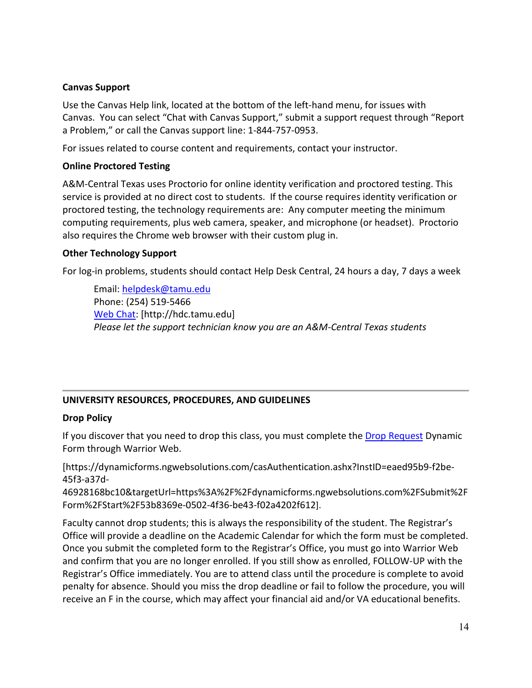#### **Canvas Support**

Use the Canvas Help link, located at the bottom of the left-hand menu, for issues with Canvas. You can select "Chat with Canvas Support," submit a support request through "Report a Problem," or call the Canvas support line: 1-844-757-0953.

For issues related to course content and requirements, contact your instructor.

## **Online Proctored Testing**

A&M-Central Texas uses Proctorio for online identity verification and proctored testing. This service is provided at no direct cost to students. If the course requires identity verification or proctored testing, the technology requirements are: Any computer meeting the minimum computing requirements, plus web camera, speaker, and microphone (or headset). Proctorio also requires the Chrome web browser with their custom plug in.

## **Other Technology Support**

For log-in problems, students should contact Help Desk Central, 24 hours a day, 7 days a week

Email: [helpdesk@tamu.edu](mailto:helpdesk@tamu.edu) Phone: (254) 519-5466 [Web Chat:](http://hdc.tamu.edu/) [http://hdc.tamu.edu] *Please let the support technician know you are an A&M-Central Texas students*

## **UNIVERSITY RESOURCES, PROCEDURES, AND GUIDELINES**

## **Drop Policy**

If you discover that you need to drop this class, you must complete the [Drop Request](https://dynamicforms.ngwebsolutions.com/casAuthentication.ashx?InstID=eaed95b9-f2be-45f3-a37d-46928168bc10&targetUrl=https%3A%2F%2Fdynamicforms.ngwebsolutions.com%2FSubmit%2FForm%2FStart%2F53b8369e-0502-4f36-be43-f02a4202f612) Dynamic Form through Warrior Web.

[https://dynamicforms.ngwebsolutions.com/casAuthentication.ashx?InstID=eaed95b9-f2be-45f3-a37d-

46928168bc10&targetUrl=https%3A%2F%2Fdynamicforms.ngwebsolutions.com%2FSubmit%2F Form%2FStart%2F53b8369e-0502-4f36-be43-f02a4202f612].

Faculty cannot drop students; this is always the responsibility of the student. The Registrar's Office will provide a deadline on the Academic Calendar for which the form must be completed. Once you submit the completed form to the Registrar's Office, you must go into Warrior Web and confirm that you are no longer enrolled. If you still show as enrolled, FOLLOW-UP with the Registrar's Office immediately. You are to attend class until the procedure is complete to avoid penalty for absence. Should you miss the drop deadline or fail to follow the procedure, you will receive an F in the course, which may affect your financial aid and/or VA educational benefits.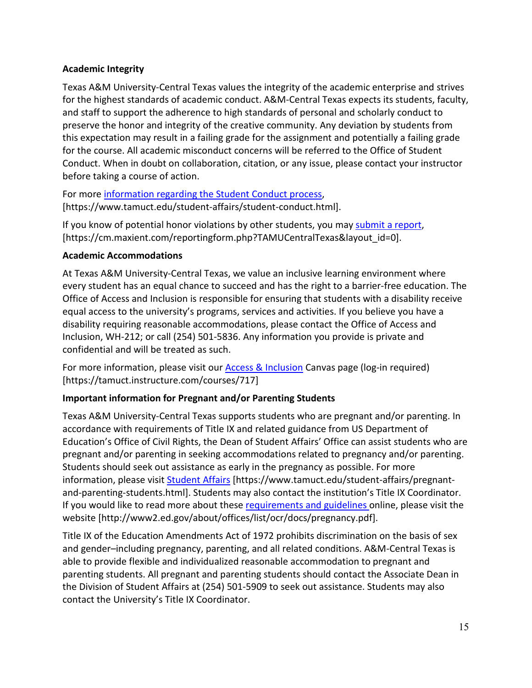## **Academic Integrity**

Texas A&M University-Central Texas values the integrity of the academic enterprise and strives for the highest standards of academic conduct. A&M-Central Texas expects its students, faculty, and staff to support the adherence to high standards of personal and scholarly conduct to preserve the honor and integrity of the creative community. Any deviation by students from this expectation may result in a failing grade for the assignment and potentially a failing grade for the course. All academic misconduct concerns will be referred to the Office of Student Conduct. When in doubt on collaboration, citation, or any issue, please contact your instructor before taking a course of action.

For more [information regarding the Student Conduct process,](https://nam04.safelinks.protection.outlook.com/?url=https%3A%2F%2Fwww.tamuct.edu%2Fstudent-affairs%2Fstudent-conduct.html&data=04%7C01%7Clisa.bunkowski%40tamuct.edu%7Ccfb6e486f24745f53e1a08d910055cb2%7C9eed4e3000f744849ff193ad8005acec%7C0%7C0%7C637558437485252160%7CUnknown%7CTWFpbGZsb3d8eyJWIjoiMC4wLjAwMDAiLCJQIjoiV2luMzIiLCJBTiI6Ik1haWwiLCJXVCI6Mn0%3D%7C1000&sdata=yjftDEVHvLX%2FhM%2FcFU0B99krV1RgEWR%2BJ%2BhvtoR6TYk%3D&reserved=0) [https://www.tamuct.edu/student-affairs/student-conduct.html].

If you know of potential honor violations by other students, you may [submit a report,](https://nam04.safelinks.protection.outlook.com/?url=https%3A%2F%2Fcm.maxient.com%2Freportingform.php%3FTAMUCentralTexas%26layout_id%3D0&data=04%7C01%7Clisa.bunkowski%40tamuct.edu%7Ccfb6e486f24745f53e1a08d910055cb2%7C9eed4e3000f744849ff193ad8005acec%7C0%7C0%7C637558437485262157%7CUnknown%7CTWFpbGZsb3d8eyJWIjoiMC4wLjAwMDAiLCJQIjoiV2luMzIiLCJBTiI6Ik1haWwiLCJXVCI6Mn0%3D%7C1000&sdata=CXGkOa6uPDPX1IMZ87z3aZDq2n91xfHKu4MMS43Ejjk%3D&reserved=0) [https://cm.maxient.com/reportingform.php?TAMUCentralTexas&layout\_id=0].

# **Academic Accommodations**

At Texas A&M University-Central Texas, we value an inclusive learning environment where every student has an equal chance to succeed and has the right to a barrier-free education. The Office of Access and Inclusion is responsible for ensuring that students with a disability receive equal access to the university's programs, services and activities. If you believe you have a disability requiring reasonable accommodations, please contact the Office of Access and Inclusion, WH-212; or call (254) 501-5836. Any information you provide is private and confidential and will be treated as such.

For more information, please visit our [Access & Inclusion](https://tamuct.instructure.com/courses/717) Canvas page (log-in required) [https://tamuct.instructure.com/courses/717]

# **Important information for Pregnant and/or Parenting Students**

Texas A&M University-Central Texas supports students who are pregnant and/or parenting. In accordance with requirements of Title IX and related guidance from US Department of Education's Office of Civil Rights, the Dean of Student Affairs' Office can assist students who are pregnant and/or parenting in seeking accommodations related to pregnancy and/or parenting. Students should seek out assistance as early in the pregnancy as possible. For more information, please visit [Student Affairs](https://www.tamuct.edu/student-affairs/pregnant-and-parenting-students.html) [https://www.tamuct.edu/student-affairs/pregnantand-parenting-students.html]. Students may also contact the institution's Title IX Coordinator. If you would like to read more about thes[e requirements and guidelines](http://www2.ed.gov/about/offices/list/ocr/docs/pregnancy.pdf) online, please visit the website [http://www2.ed.gov/about/offices/list/ocr/docs/pregnancy.pdf].

Title IX of the Education Amendments Act of 1972 prohibits discrimination on the basis of sex and gender–including pregnancy, parenting, and all related conditions. A&M-Central Texas is able to provide flexible and individualized reasonable accommodation to pregnant and parenting students. All pregnant and parenting students should contact the Associate Dean in the Division of Student Affairs at (254) 501-5909 to seek out assistance. Students may also contact the University's Title IX Coordinator.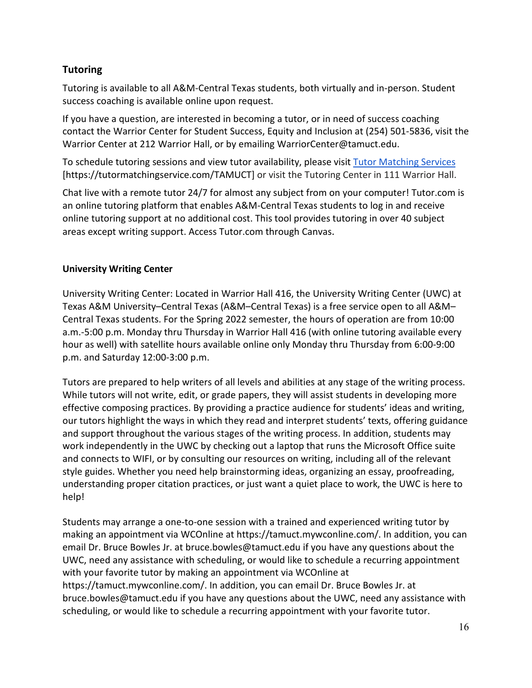# **Tutoring**

Tutoring is available to all A&M-Central Texas students, both virtually and in-person. Student success coaching is available online upon request.

If you have a question, are interested in becoming a tutor, or in need of success coaching contact the Warrior Center for Student Success, Equity and Inclusion at (254) 501-5836, visit the Warrior Center at 212 Warrior Hall, or by emailing WarriorCenter@tamuct.edu.

To schedule tutoring sessions and view tutor availability, please visit [Tutor Matching Services](https://tutormatchingservice.com/TAMUCT) [https://tutormatchingservice.com/TAMUCT] or visit the Tutoring Center in 111 Warrior Hall.

Chat live with a remote tutor 24/7 for almost any subject from on your computer! Tutor.com is an online tutoring platform that enables A&M-Central Texas students to log in and receive online tutoring support at no additional cost. This tool provides tutoring in over 40 subject areas except writing support. Access Tutor.com through Canvas.

# **University Writing Center**

University Writing Center: Located in Warrior Hall 416, the University Writing Center (UWC) at Texas A&M University–Central Texas (A&M–Central Texas) is a free service open to all A&M– Central Texas students. For the Spring 2022 semester, the hours of operation are from 10:00 a.m.-5:00 p.m. Monday thru Thursday in Warrior Hall 416 (with online tutoring available every hour as well) with satellite hours available online only Monday thru Thursday from 6:00-9:00 p.m. and Saturday 12:00-3:00 p.m.

Tutors are prepared to help writers of all levels and abilities at any stage of the writing process. While tutors will not write, edit, or grade papers, they will assist students in developing more effective composing practices. By providing a practice audience for students' ideas and writing, our tutors highlight the ways in which they read and interpret students' texts, offering guidance and support throughout the various stages of the writing process. In addition, students may work independently in the UWC by checking out a laptop that runs the Microsoft Office suite and connects to WIFI, or by consulting our resources on writing, including all of the relevant style guides. Whether you need help brainstorming ideas, organizing an essay, proofreading, understanding proper citation practices, or just want a quiet place to work, the UWC is here to help!

Students may arrange a one-to-one session with a trained and experienced writing tutor by making an appointment via WCOnline at https://tamuct.mywconline.com/. In addition, you can email Dr. Bruce Bowles Jr. at bruce.bowles@tamuct.edu if you have any questions about the UWC, need any assistance with scheduling, or would like to schedule a recurring appointment with your favorite tutor by making an appointment via WCOnline at https://tamuct.mywconline.com/. In addition, you can email Dr. Bruce Bowles Jr. at bruce.bowles@tamuct.edu if you have any questions about the UWC, need any assistance with scheduling, or would like to schedule a recurring appointment with your favorite tutor.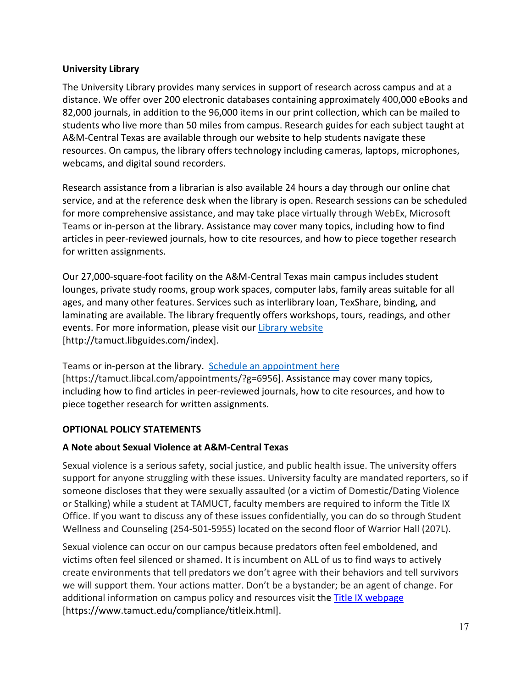## **University Library**

The University Library provides many services in support of research across campus and at a distance. We offer over 200 electronic databases containing approximately 400,000 eBooks and 82,000 journals, in addition to the 96,000 items in our print collection, which can be mailed to students who live more than 50 miles from campus. Research guides for each subject taught at A&M-Central Texas are available through our website to help students navigate these resources. On campus, the library offers technology including cameras, laptops, microphones, webcams, and digital sound recorders.

Research assistance from a librarian is also available 24 hours a day through our online chat service, and at the reference desk when the library is open. Research sessions can be scheduled for more comprehensive assistance, and may take place virtually through WebEx, Microsoft Teams or in-person at the library. Assistance may cover many topics, including how to find articles in peer-reviewed journals, how to cite resources, and how to piece together research for written assignments.

Our 27,000-square-foot facility on the A&M-Central Texas main campus includes student lounges, private study rooms, group work spaces, computer labs, family areas suitable for all ages, and many other features. Services such as interlibrary loan, TexShare, binding, and laminating are available. The library frequently offers workshops, tours, readings, and other events. For more information, please visit our [Library website](https://nam04.safelinks.protection.outlook.com/?url=https%3A%2F%2Ftamuct.libguides.com%2Findex&data=04%7C01%7Clisa.bunkowski%40tamuct.edu%7C7d8489e8839a4915335f08d916f067f2%7C9eed4e3000f744849ff193ad8005acec%7C0%7C0%7C637566044056484222%7CUnknown%7CTWFpbGZsb3d8eyJWIjoiMC4wLjAwMDAiLCJQIjoiV2luMzIiLCJBTiI6Ik1haWwiLCJXVCI6Mn0%3D%7C1000&sdata=2R755V6rcIyedGrd4Os5rkgn1PvhHKU3kUV1vBKiHFo%3D&reserved=0) [http://tamuct.libguides.com/index].

Teams or in-person at the library. [Schedule an appointment here](https://nam04.safelinks.protection.outlook.com/?url=https%3A%2F%2Ftamuct.libcal.com%2Fappointments%2F%3Fg%3D6956&data=04%7C01%7Clisa.bunkowski%40tamuct.edu%7Cde2c07d9f5804f09518008d9ab7ba6ff%7C9eed4e3000f744849ff193ad8005acec%7C0%7C0%7C637729369835011558%7CUnknown%7CTWFpbGZsb3d8eyJWIjoiMC4wLjAwMDAiLCJQIjoiV2luMzIiLCJBTiI6Ik1haWwiLCJXVCI6Mn0%3D%7C3000&sdata=KhtjgRSAw9aq%2FoBsB6wyu8b7PSuGN5EGPypzr3Ty2No%3D&reserved=0) [https://tamuct.libcal.com/appointments/?g=6956]. Assistance may cover many topics, including how to find articles in peer-reviewed journals, how to cite resources, and how to piece together research for written assignments.

## **OPTIONAL POLICY STATEMENTS**

#### **A Note about Sexual Violence at A&M-Central Texas**

Sexual violence is a serious safety, social justice, and public health issue. The university offers support for anyone struggling with these issues. University faculty are mandated reporters, so if someone discloses that they were sexually assaulted (or a victim of Domestic/Dating Violence or Stalking) while a student at TAMUCT, faculty members are required to inform the Title IX Office. If you want to discuss any of these issues confidentially, you can do so through Student Wellness and Counseling (254-501-5955) located on the second floor of Warrior Hall (207L).

Sexual violence can occur on our campus because predators often feel emboldened, and victims often feel silenced or shamed. It is incumbent on ALL of us to find ways to actively create environments that tell predators we don't agree with their behaviors and tell survivors we will support them. Your actions matter. Don't be a bystander; be an agent of change. For additional information on campus policy and resources visit the [Title IX webpage](https://www.tamuct.edu/compliance/titleix.html) [\[https://www.tamuct.edu/compliance/titleix.html\]](https://www.tamuct.edu/compliance/titleix.html).